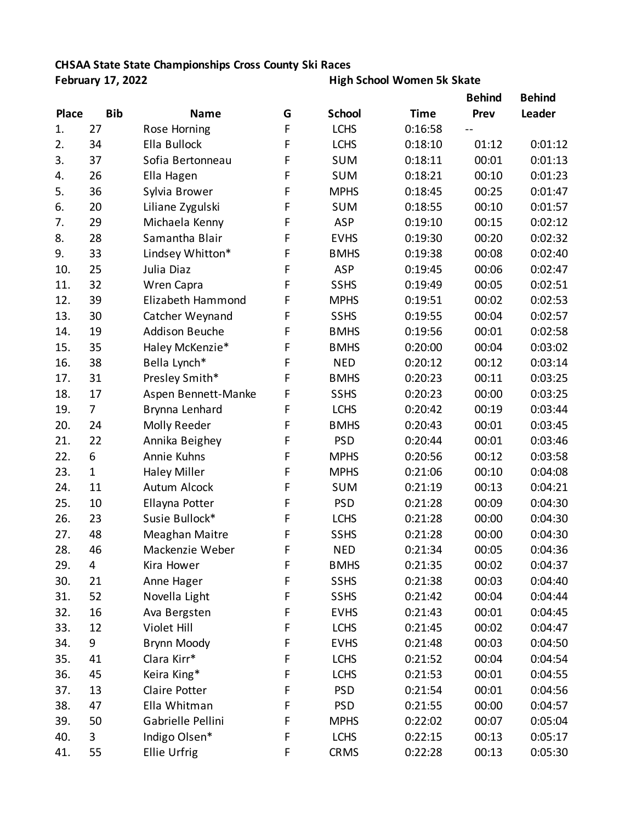## **CHSAA State State Championships Cross County Ski Races**

**February 17, 2022 High School Women 5k Skate**

| <b>Place</b> |              | <b>Name</b>           | G | <b>School</b> | <b>Time</b> | <b>Behind</b><br>Prev | <b>Behind</b><br>Leader |
|--------------|--------------|-----------------------|---|---------------|-------------|-----------------------|-------------------------|
|              | <b>Bib</b>   |                       |   |               |             |                       |                         |
| 1.           | 27           | Rose Horning          | F | <b>LCHS</b>   | 0:16:58     |                       |                         |
| 2.           | 34           | Ella Bullock          | F | <b>LCHS</b>   | 0:18:10     | 01:12                 | 0:01:12                 |
| 3.           | 37           | Sofia Bertonneau      | F | <b>SUM</b>    | 0:18:11     | 00:01                 | 0:01:13                 |
| 4.           | 26           | Ella Hagen            | F | <b>SUM</b>    | 0:18:21     | 00:10                 | 0:01:23                 |
| 5.           | 36           | Sylvia Brower         | F | <b>MPHS</b>   | 0:18:45     | 00:25                 | 0:01:47                 |
| 6.           | 20           | Liliane Zygulski      | F | <b>SUM</b>    | 0:18:55     | 00:10                 | 0:01:57                 |
| 7.           | 29           | Michaela Kenny        | F | <b>ASP</b>    | 0:19:10     | 00:15                 | 0:02:12                 |
| 8.           | 28           | Samantha Blair        | F | <b>EVHS</b>   | 0:19:30     | 00:20                 | 0:02:32                 |
| 9.           | 33           | Lindsey Whitton*      | F | <b>BMHS</b>   | 0:19:38     | 00:08                 | 0:02:40                 |
| 10.          | 25           | Julia Diaz            | F | <b>ASP</b>    | 0:19:45     | 00:06                 | 0:02:47                 |
| 11.          | 32           | Wren Capra            | F | <b>SSHS</b>   | 0:19:49     | 00:05                 | 0:02:51                 |
| 12.          | 39           | Elizabeth Hammond     | F | <b>MPHS</b>   | 0:19:51     | 00:02                 | 0:02:53                 |
| 13.          | 30           | Catcher Weynand       | F | <b>SSHS</b>   | 0:19:55     | 00:04                 | 0:02:57                 |
| 14.          | 19           | <b>Addison Beuche</b> | F | <b>BMHS</b>   | 0:19:56     | 00:01                 | 0:02:58                 |
| 15.          | 35           | Haley McKenzie*       | F | <b>BMHS</b>   | 0:20:00     | 00:04                 | 0:03:02                 |
| 16.          | 38           | Bella Lynch*          | F | <b>NED</b>    | 0:20:12     | 00:12                 | 0:03:14                 |
| 17.          | 31           | Presley Smith*        | F | <b>BMHS</b>   | 0:20:23     | 00:11                 | 0:03:25                 |
| 18.          | 17           | Aspen Bennett-Manke   | F | <b>SSHS</b>   | 0:20:23     | 00:00                 | 0:03:25                 |
| 19.          | 7            | Brynna Lenhard        | F | <b>LCHS</b>   | 0:20:42     | 00:19                 | 0:03:44                 |
| 20.          | 24           | Molly Reeder          | F | <b>BMHS</b>   | 0:20:43     | 00:01                 | 0:03:45                 |
| 21.          | 22           | Annika Beighey        | F | <b>PSD</b>    | 0:20:44     | 00:01                 | 0:03:46                 |
| 22.          | 6            | Annie Kuhns           | F | <b>MPHS</b>   | 0:20:56     | 00:12                 | 0:03:58                 |
| 23.          | $\mathbf{1}$ | <b>Haley Miller</b>   | F | <b>MPHS</b>   | 0:21:06     | 00:10                 | 0:04:08                 |
| 24.          | 11           | <b>Autum Alcock</b>   | F | <b>SUM</b>    | 0:21:19     | 00:13                 | 0:04:21                 |
| 25.          | 10           | Ellayna Potter        | F | <b>PSD</b>    | 0:21:28     | 00:09                 | 0:04:30                 |
| 26.          | 23           | Susie Bullock*        | F | <b>LCHS</b>   | 0:21:28     | 00:00                 | 0:04:30                 |
| 27.          | 48           | Meaghan Maitre        | F | <b>SSHS</b>   | 0:21:28     | 00:00                 | 0:04:30                 |
| 28.          | 46           | Mackenzie Weber       | F | <b>NED</b>    | 0:21:34     | 00:05                 | 0:04:36                 |
| 29.          | 4            | Kira Hower            | F | <b>BMHS</b>   | 0:21:35     | 00:02                 | 0:04:37                 |
| 30.          | 21           | Anne Hager            | F | <b>SSHS</b>   | 0:21:38     | 00:03                 | 0:04:40                 |
| 31.          | 52           | Novella Light         | F | <b>SSHS</b>   | 0:21:42     | 00:04                 | 0:04:44                 |
| 32.          | 16           | Ava Bergsten          | F | <b>EVHS</b>   | 0:21:43     | 00:01                 | 0:04:45                 |
| 33.          | 12           | Violet Hill           | F | <b>LCHS</b>   | 0:21:45     | 00:02                 | 0:04:47                 |
| 34.          | 9            | Brynn Moody           | F | <b>EVHS</b>   | 0:21:48     | 00:03                 | 0:04:50                 |
| 35.          | 41           | Clara Kirr*           | F | <b>LCHS</b>   | 0:21:52     | 00:04                 | 0:04:54                 |
| 36.          | 45           | Keira King*           | F | <b>LCHS</b>   | 0:21:53     | 00:01                 | 0:04:55                 |
| 37.          | 13           | Claire Potter         | F | <b>PSD</b>    | 0:21:54     | 00:01                 | 0:04:56                 |
| 38.          | 47           | Ella Whitman          | F | <b>PSD</b>    | 0:21:55     | 00:00                 | 0:04:57                 |
| 39.          | 50           | Gabrielle Pellini     | F | <b>MPHS</b>   | 0:22:02     | 00:07                 | 0:05:04                 |
| 40.          | 3            | Indigo Olsen*         | F | <b>LCHS</b>   | 0:22:15     | 00:13                 | 0:05:17                 |
| 41.          | 55           | <b>Ellie Urfrig</b>   | F | <b>CRMS</b>   | 0:22:28     | 00:13                 | 0:05:30                 |